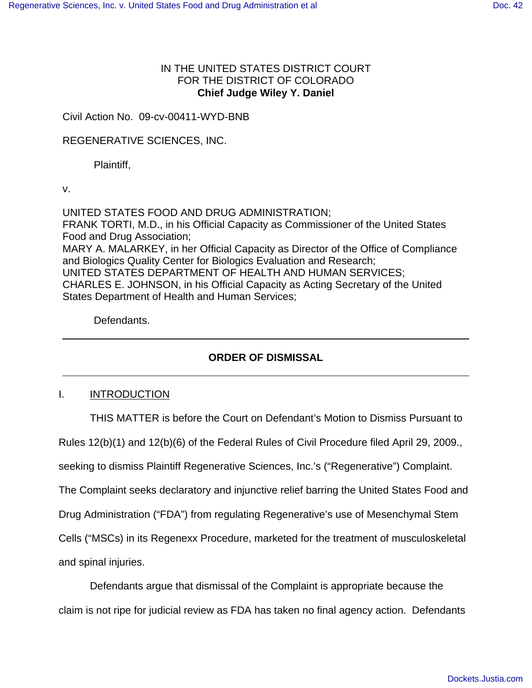# IN THE UNITED STATES DISTRICT COURT FOR THE DISTRICT OF COLORADO **Chief Judge Wiley Y. Daniel**

Civil Action No. 09-cv-00411-WYD-BNB

### REGENERATIVE SCIENCES, INC.

Plaintiff,

v.

UNITED STATES FOOD AND DRUG ADMINISTRATION; FRANK TORTI, M.D., in his Official Capacity as Commissioner of the United States Food and Drug Association; MARY A. MALARKEY, in her Official Capacity as Director of the Office of Compliance and Biologics Quality Center for Biologics Evaluation and Research; UNITED STATES DEPARTMENT OF HEALTH AND HUMAN SERVICES; CHARLES E. JOHNSON, in his Official Capacity as Acting Secretary of the United States Department of Health and Human Services;

Defendants.

## **ORDER OF DISMISSAL**

### I. INTRODUCTION

THIS MATTER is before the Court on Defendant's Motion to Dismiss Pursuant to

Rules 12(b)(1) and 12(b)(6) of the Federal Rules of Civil Procedure filed April 29, 2009.,

seeking to dismiss Plaintiff Regenerative Sciences, Inc.'s ("Regenerative") Complaint.

The Complaint seeks declaratory and injunctive relief barring the United States Food and

Drug Administration ("FDA") from regulating Regenerative's use of Mesenchymal Stem

Cells ("MSCs) in its Regenexx Procedure, marketed for the treatment of musculoskeletal

and spinal injuries.

Defendants argue that dismissal of the Complaint is appropriate because the claim is not ripe for judicial review as FDA has taken no final agency action. Defendants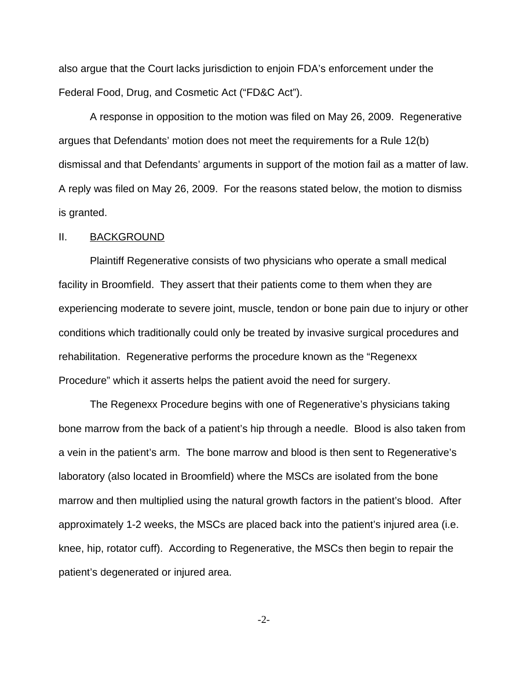also argue that the Court lacks jurisdiction to enjoin FDA's enforcement under the Federal Food, Drug, and Cosmetic Act ("FD&C Act").

 A response in opposition to the motion was filed on May 26, 2009. Regenerative argues that Defendants' motion does not meet the requirements for a Rule 12(b) dismissal and that Defendants' arguments in support of the motion fail as a matter of law. A reply was filed on May 26, 2009. For the reasons stated below, the motion to dismiss is granted.

### II. BACKGROUND

Plaintiff Regenerative consists of two physicians who operate a small medical facility in Broomfield. They assert that their patients come to them when they are experiencing moderate to severe joint, muscle, tendon or bone pain due to injury or other conditions which traditionally could only be treated by invasive surgical procedures and rehabilitation. Regenerative performs the procedure known as the "Regenexx Procedure" which it asserts helps the patient avoid the need for surgery.

The Regenexx Procedure begins with one of Regenerative's physicians taking bone marrow from the back of a patient's hip through a needle. Blood is also taken from a vein in the patient's arm. The bone marrow and blood is then sent to Regenerative's laboratory (also located in Broomfield) where the MSCs are isolated from the bone marrow and then multiplied using the natural growth factors in the patient's blood. After approximately 1-2 weeks, the MSCs are placed back into the patient's injured area (i.e. knee, hip, rotator cuff). According to Regenerative, the MSCs then begin to repair the patient's degenerated or injured area.

 $-2$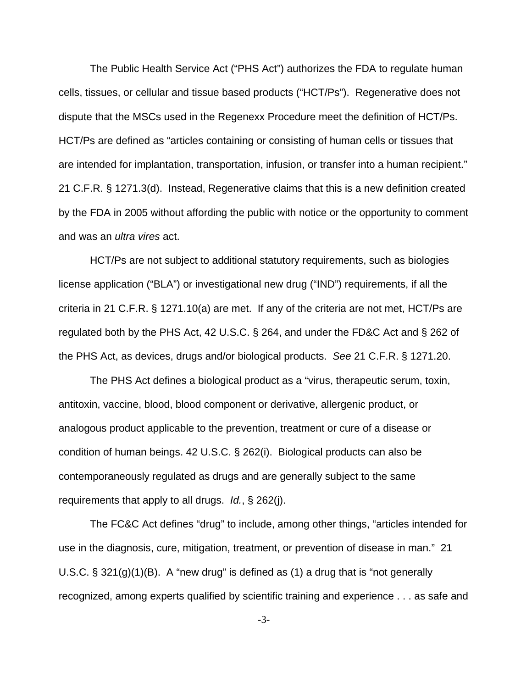The Public Health Service Act ("PHS Act") authorizes the FDA to regulate human cells, tissues, or cellular and tissue based products ("HCT/Ps"). Regenerative does not dispute that the MSCs used in the Regenexx Procedure meet the definition of HCT/Ps. HCT/Ps are defined as "articles containing or consisting of human cells or tissues that are intended for implantation, transportation, infusion, or transfer into a human recipient." 21 C.F.R. § 1271.3(d). Instead, Regenerative claims that this is a new definition created by the FDA in 2005 without affording the public with notice or the opportunity to comment and was an *ultra vires* act.

HCT/Ps are not subject to additional statutory requirements, such as biologies license application ("BLA") or investigational new drug ("IND") requirements, if all the criteria in 21 C.F.R. § 1271.10(a) are met. If any of the criteria are not met, HCT/Ps are regulated both by the PHS Act, 42 U.S.C. § 264, and under the FD&C Act and § 262 of the PHS Act, as devices, drugs and/or biological products. See 21 C.F.R. § 1271.20.

The PHS Act defines a biological product as a "virus, therapeutic serum, toxin, antitoxin, vaccine, blood, blood component or derivative, allergenic product, or analogous product applicable to the prevention, treatment or cure of a disease or condition of human beings. 42 U.S.C. § 262(i). Biological products can also be contemporaneously regulated as drugs and are generally subject to the same requirements that apply to all drugs. Id., § 262(j).

The FC&C Act defines "drug" to include, among other things, "articles intended for use in the diagnosis, cure, mitigation, treatment, or prevention of disease in man." 21 U.S.C.  $\S 321(g)(1)(B)$ . A "new drug" is defined as (1) a drug that is "not generally recognized, among experts qualified by scientific training and experience . . . as safe and

-3-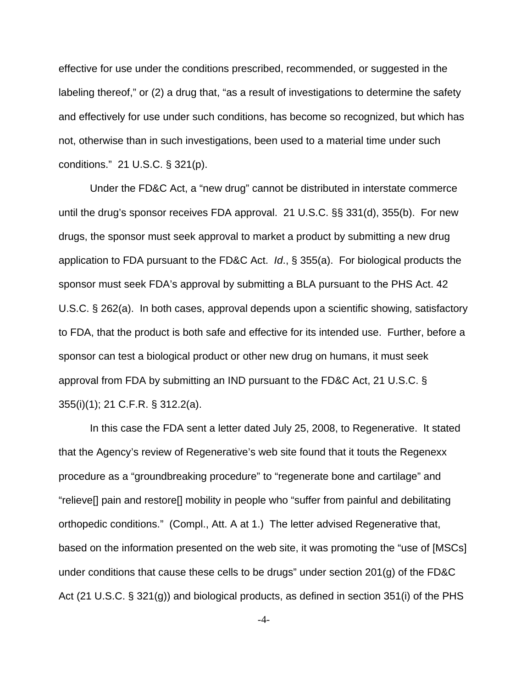effective for use under the conditions prescribed, recommended, or suggested in the labeling thereof," or (2) a drug that, "as a result of investigations to determine the safety and effectively for use under such conditions, has become so recognized, but which has not, otherwise than in such investigations, been used to a material time under such conditions." 21 U.S.C. § 321(p).

Under the FD&C Act, a "new drug" cannot be distributed in interstate commerce until the drug's sponsor receives FDA approval. 21 U.S.C. §§ 331(d), 355(b). For new drugs, the sponsor must seek approval to market a product by submitting a new drug application to FDA pursuant to the FD&C Act. Id., § 355(a). For biological products the sponsor must seek FDA's approval by submitting a BLA pursuant to the PHS Act. 42 U.S.C. § 262(a). In both cases, approval depends upon a scientific showing, satisfactory to FDA, that the product is both safe and effective for its intended use. Further, before a sponsor can test a biological product or other new drug on humans, it must seek approval from FDA by submitting an IND pursuant to the FD&C Act, 21 U.S.C. § 355(i)(1); 21 C.F.R. § 312.2(a).

In this case the FDA sent a letter dated July 25, 2008, to Regenerative. It stated that the Agency's review of Regenerative's web site found that it touts the Regenexx procedure as a "groundbreaking procedure" to "regenerate bone and cartilage" and "relieve[] pain and restore[] mobility in people who "suffer from painful and debilitating orthopedic conditions." (Compl., Att. A at 1.) The letter advised Regenerative that, based on the information presented on the web site, it was promoting the "use of [MSCs] under conditions that cause these cells to be drugs" under section 201(g) of the FD&C Act (21 U.S.C. § 321(g)) and biological products, as defined in section 351(i) of the PHS

-4-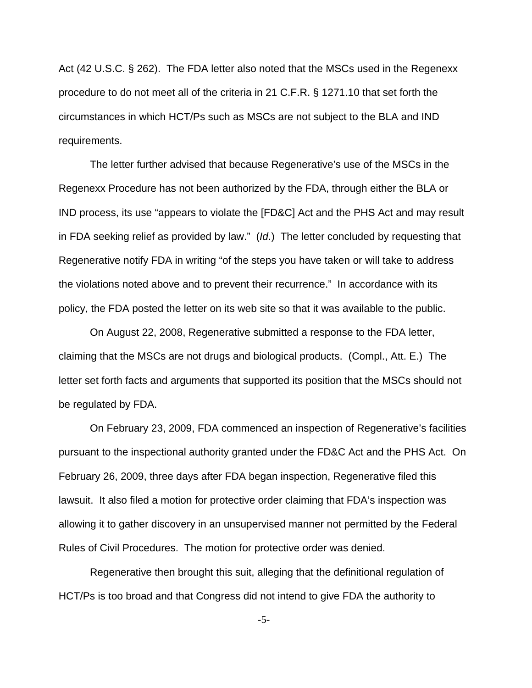Act (42 U.S.C. § 262). The FDA letter also noted that the MSCs used in the Regenexx procedure to do not meet all of the criteria in 21 C.F.R. § 1271.10 that set forth the circumstances in which HCT/Ps such as MSCs are not subject to the BLA and IND requirements.

The letter further advised that because Regenerative's use of the MSCs in the Regenexx Procedure has not been authorized by the FDA, through either the BLA or IND process, its use "appears to violate the [FD&C] Act and the PHS Act and may result in FDA seeking relief as provided by law." (Id.) The letter concluded by requesting that Regenerative notify FDA in writing "of the steps you have taken or will take to address the violations noted above and to prevent their recurrence." In accordance with its policy, the FDA posted the letter on its web site so that it was available to the public.

On August 22, 2008, Regenerative submitted a response to the FDA letter, claiming that the MSCs are not drugs and biological products. (Compl., Att. E.) The letter set forth facts and arguments that supported its position that the MSCs should not be regulated by FDA.

On February 23, 2009, FDA commenced an inspection of Regenerative's facilities pursuant to the inspectional authority granted under the FD&C Act and the PHS Act. On February 26, 2009, three days after FDA began inspection, Regenerative filed this lawsuit. It also filed a motion for protective order claiming that FDA's inspection was allowing it to gather discovery in an unsupervised manner not permitted by the Federal Rules of Civil Procedures. The motion for protective order was denied.

Regenerative then brought this suit, alleging that the definitional regulation of HCT/Ps is too broad and that Congress did not intend to give FDA the authority to

-5-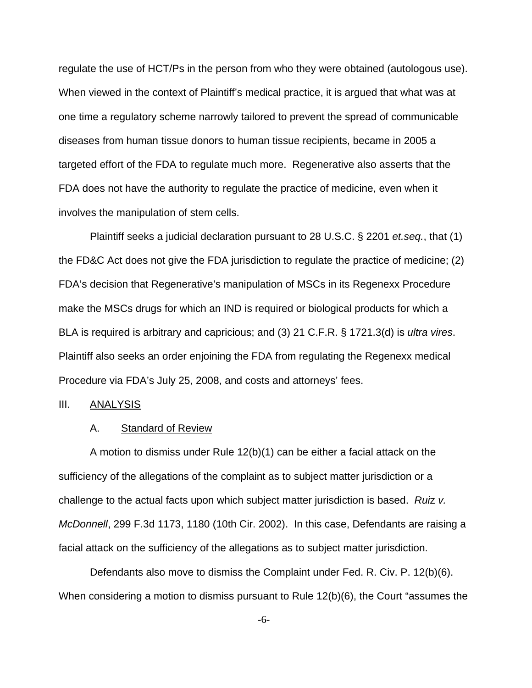regulate the use of HCT/Ps in the person from who they were obtained (autologous use). When viewed in the context of Plaintiff's medical practice, it is argued that what was at one time a regulatory scheme narrowly tailored to prevent the spread of communicable diseases from human tissue donors to human tissue recipients, became in 2005 a targeted effort of the FDA to regulate much more. Regenerative also asserts that the FDA does not have the authority to regulate the practice of medicine, even when it involves the manipulation of stem cells.

Plaintiff seeks a judicial declaration pursuant to 28 U.S.C. § 2201 et.seq., that (1) the FD&C Act does not give the FDA jurisdiction to regulate the practice of medicine; (2) FDA's decision that Regenerative's manipulation of MSCs in its Regenexx Procedure make the MSCs drugs for which an IND is required or biological products for which a BLA is required is arbitrary and capricious; and (3) 21 C.F.R. § 1721.3(d) is *ultra vires.* Plaintiff also seeks an order enjoining the FDA from regulating the Regenexx medical Procedure via FDA's July 25, 2008, and costs and attorneys' fees.

#### III. ANALYSIS

#### A. Standard of Review

A motion to dismiss under Rule 12(b)(1) can be either a facial attack on the sufficiency of the allegations of the complaint as to subject matter jurisdiction or a challenge to the actual facts upon which subject matter jurisdiction is based. Ruiz v. McDonnell, 299 F.3d 1173, 1180 (10th Cir. 2002). In this case, Defendants are raising a facial attack on the sufficiency of the allegations as to subject matter jurisdiction.

Defendants also move to dismiss the Complaint under Fed. R. Civ. P. 12(b)(6). When considering a motion to dismiss pursuant to Rule 12(b)(6), the Court "assumes the

-6-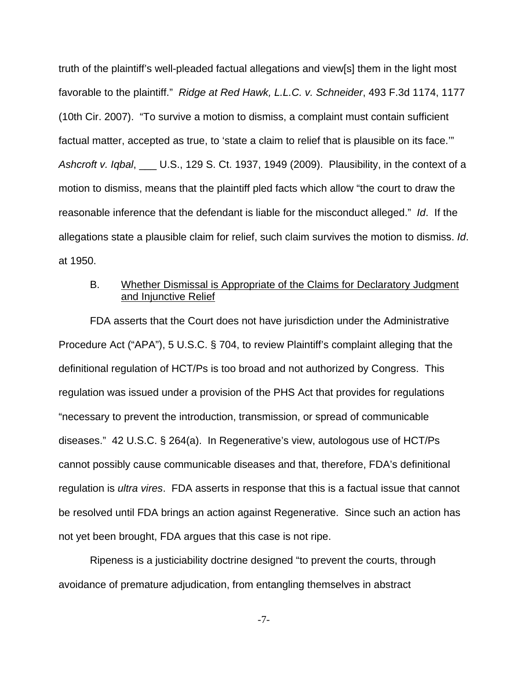truth of the plaintiff's well-pleaded factual allegations and view[s] them in the light most favorable to the plaintiff." Ridge at Red Hawk, L.L.C. v. Schneider, 493 F.3d 1174, 1177 (10th Cir. 2007). "To survive a motion to dismiss, a complaint must contain sufficient factual matter, accepted as true, to 'state a claim to relief that is plausible on its face.'" Ashcroft v. Iqbal, \_\_\_ U.S., 129 S. Ct. 1937, 1949 (2009). Plausibility, in the context of a motion to dismiss, means that the plaintiff pled facts which allow "the court to draw the reasonable inference that the defendant is liable for the misconduct alleged." Id. If the allegations state a plausible claim for relief, such claim survives the motion to dismiss. Id. at 1950.

## B. Whether Dismissal is Appropriate of the Claims for Declaratory Judgment and Injunctive Relief

FDA asserts that the Court does not have jurisdiction under the Administrative Procedure Act ("APA"), 5 U.S.C. § 704, to review Plaintiff's complaint alleging that the definitional regulation of HCT/Ps is too broad and not authorized by Congress. This regulation was issued under a provision of the PHS Act that provides for regulations "necessary to prevent the introduction, transmission, or spread of communicable diseases." 42 U.S.C. § 264(a). In Regenerative's view, autologous use of HCT/Ps cannot possibly cause communicable diseases and that, therefore, FDA's definitional regulation is ultra vires. FDA asserts in response that this is a factual issue that cannot be resolved until FDA brings an action against Regenerative. Since such an action has not yet been brought, FDA argues that this case is not ripe.

Ripeness is a justiciability doctrine designed "to prevent the courts, through avoidance of premature adjudication, from entangling themselves in abstract

-7-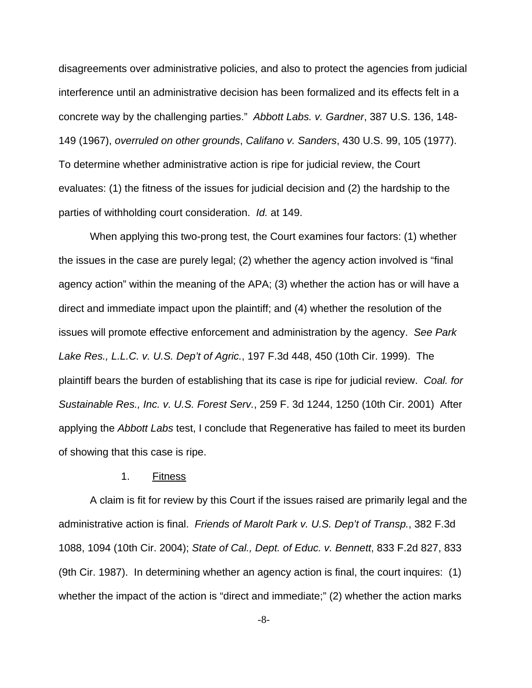disagreements over administrative policies, and also to protect the agencies from judicial interference until an administrative decision has been formalized and its effects felt in a concrete way by the challenging parties." Abbott Labs. v. Gardner, 387 U.S. 136, 148- 149 (1967), overruled on other grounds, Califano v. Sanders, 430 U.S. 99, 105 (1977). To determine whether administrative action is ripe for judicial review, the Court evaluates: (1) the fitness of the issues for judicial decision and (2) the hardship to the parties of withholding court consideration. Id. at 149.

When applying this two-prong test, the Court examines four factors: (1) whether the issues in the case are purely legal; (2) whether the agency action involved is "final agency action" within the meaning of the APA; (3) whether the action has or will have a direct and immediate impact upon the plaintiff; and (4) whether the resolution of the issues will promote effective enforcement and administration by the agency. See Park Lake Res., L.L.C. v. U.S. Dep't of Agric., 197 F.3d 448, 450 (10th Cir. 1999). The plaintiff bears the burden of establishing that its case is ripe for judicial review. Coal. for Sustainable Res., Inc. v. U.S. Forest Serv., 259 F. 3d 1244, 1250 (10th Cir. 2001) After applying the Abbott Labs test, I conclude that Regenerative has failed to meet its burden of showing that this case is ripe.

### 1. Fitness

A claim is fit for review by this Court if the issues raised are primarily legal and the administrative action is final. Friends of Marolt Park v. U.S. Dep't of Transp., 382 F.3d 1088, 1094 (10th Cir. 2004); State of Cal., Dept. of Educ. v. Bennett, 833 F.2d 827, 833 (9th Cir. 1987). In determining whether an agency action is final, the court inquires: (1) whether the impact of the action is "direct and immediate;" (2) whether the action marks

-8-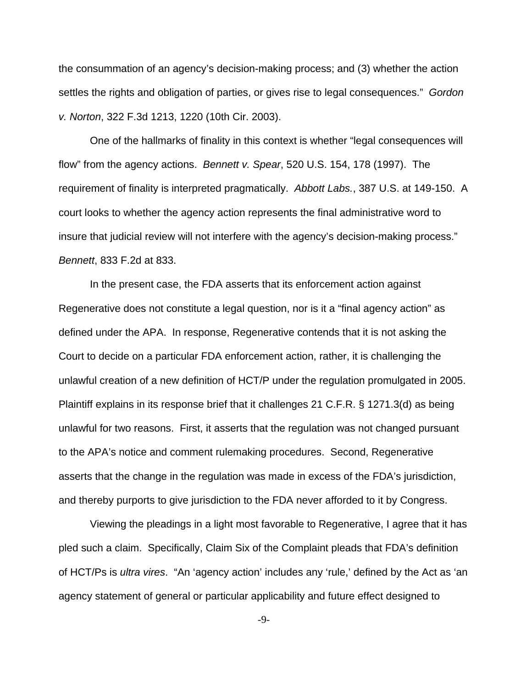the consummation of an agency's decision-making process; and (3) whether the action settles the rights and obligation of parties, or gives rise to legal consequences." Gordon v. Norton, 322 F.3d 1213, 1220 (10th Cir. 2003).

One of the hallmarks of finality in this context is whether "legal consequences will flow" from the agency actions. Bennett v. Spear, 520 U.S. 154, 178 (1997). The requirement of finality is interpreted pragmatically. Abbott Labs., 387 U.S. at 149-150. A court looks to whether the agency action represents the final administrative word to insure that judicial review will not interfere with the agency's decision-making process." Bennett, 833 F.2d at 833.

In the present case, the FDA asserts that its enforcement action against Regenerative does not constitute a legal question, nor is it a "final agency action" as defined under the APA. In response, Regenerative contends that it is not asking the Court to decide on a particular FDA enforcement action, rather, it is challenging the unlawful creation of a new definition of HCT/P under the regulation promulgated in 2005. Plaintiff explains in its response brief that it challenges 21 C.F.R. § 1271.3(d) as being unlawful for two reasons. First, it asserts that the regulation was not changed pursuant to the APA's notice and comment rulemaking procedures. Second, Regenerative asserts that the change in the regulation was made in excess of the FDA's jurisdiction, and thereby purports to give jurisdiction to the FDA never afforded to it by Congress.

Viewing the pleadings in a light most favorable to Regenerative, I agree that it has pled such a claim. Specifically, Claim Six of the Complaint pleads that FDA's definition of HCT/Ps is ultra vires. "An 'agency action' includes any 'rule,' defined by the Act as 'an agency statement of general or particular applicability and future effect designed to

-9-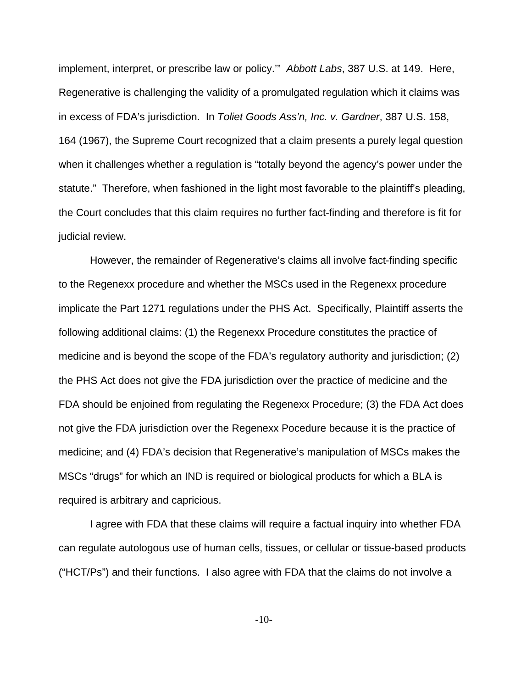implement, interpret, or prescribe law or policy.'" Abbott Labs, 387 U.S. at 149. Here, Regenerative is challenging the validity of a promulgated regulation which it claims was in excess of FDA's jurisdiction. In Toliet Goods Ass'n, Inc. v. Gardner, 387 U.S. 158, 164 (1967), the Supreme Court recognized that a claim presents a purely legal question when it challenges whether a regulation is "totally beyond the agency's power under the statute." Therefore, when fashioned in the light most favorable to the plaintiff's pleading, the Court concludes that this claim requires no further fact-finding and therefore is fit for judicial review.

However, the remainder of Regenerative's claims all involve fact-finding specific to the Regenexx procedure and whether the MSCs used in the Regenexx procedure implicate the Part 1271 regulations under the PHS Act. Specifically, Plaintiff asserts the following additional claims: (1) the Regenexx Procedure constitutes the practice of medicine and is beyond the scope of the FDA's regulatory authority and jurisdiction; (2) the PHS Act does not give the FDA jurisdiction over the practice of medicine and the FDA should be enjoined from regulating the Regenexx Procedure; (3) the FDA Act does not give the FDA jurisdiction over the Regenexx Pocedure because it is the practice of medicine; and (4) FDA's decision that Regenerative's manipulation of MSCs makes the MSCs "drugs" for which an IND is required or biological products for which a BLA is required is arbitrary and capricious.

I agree with FDA that these claims will require a factual inquiry into whether FDA can regulate autologous use of human cells, tissues, or cellular or tissue-based products ("HCT/Ps") and their functions. I also agree with FDA that the claims do not involve a

-10-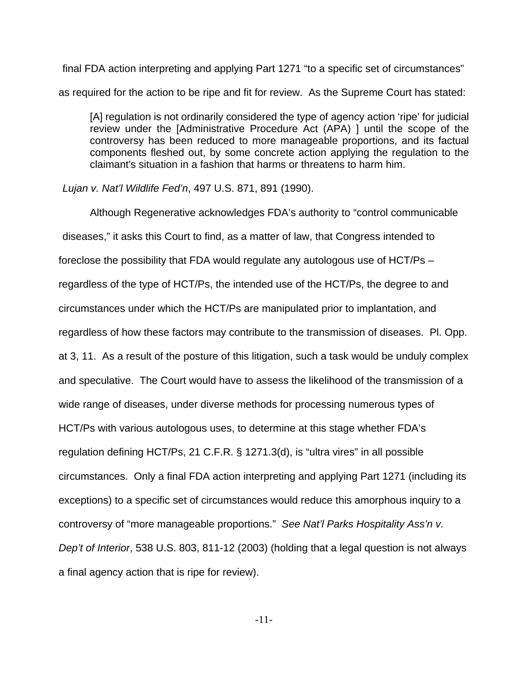final FDA action interpreting and applying Part 1271 "to a specific set of circumstances" as required for the action to be ripe and fit for review. As the Supreme Court has stated:

[A] regulation is not ordinarily considered the type of agency action 'ripe' for judicial review under the [Administrative Procedure Act (APA) ] until the scope of the controversy has been reduced to more manageable proportions, and its factual components fleshed out, by some concrete action applying the regulation to the claimant's situation in a fashion that harms or threatens to harm him.

#### Lujan v. Nat'l Wildlife Fed'n, 497 U.S. 871, 891 (1990).

Although Regenerative acknowledges FDA's authority to "control communicable diseases," it asks this Court to find, as a matter of law, that Congress intended to foreclose the possibility that FDA would regulate any autologous use of HCT/Ps – regardless of the type of HCT/Ps, the intended use of the HCT/Ps, the degree to and circumstances under which the HCT/Ps are manipulated prior to implantation, and regardless of how these factors may contribute to the transmission of diseases. Pl. Opp. at 3, 11. As a result of the posture of this litigation, such a task would be unduly complex and speculative. The Court would have to assess the likelihood of the transmission of a wide range of diseases, under diverse methods for processing numerous types of HCT/Ps with various autologous uses, to determine at this stage whether FDA's regulation defining HCT/Ps, 21 C.F.R. § 1271.3(d), is "ultra vires" in all possible circumstances. Only a final FDA action interpreting and applying Part 1271 (including its exceptions) to a specific set of circumstances would reduce this amorphous inquiry to a controversy of "more manageable proportions." See Nat'l Parks Hospitality Ass'n v. Dep't of Interior, 538 U.S. 803, 811-12 (2003) (holding that a legal question is not always a final agency action that is ripe for review).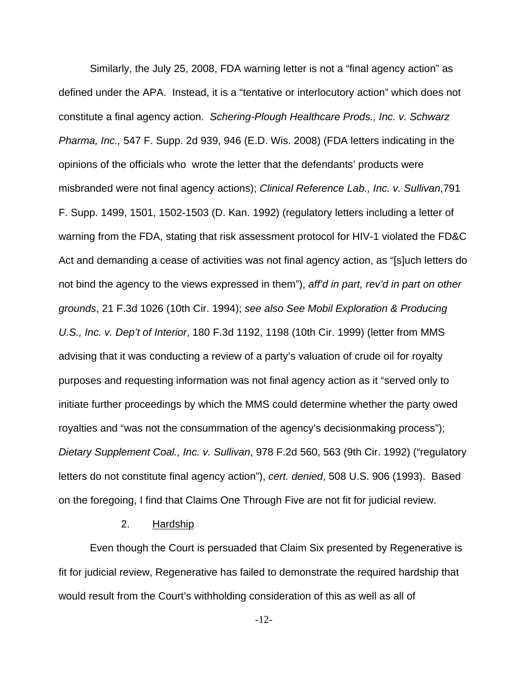Similarly, the July 25, 2008, FDA warning letter is not a "final agency action" as defined under the APA. Instead, it is a "tentative or interlocutory action" which does not constitute a final agency action. Schering-Plough Healthcare Prods., Inc. v. Schwarz Pharma, Inc., 547 F. Supp. 2d 939, 946 (E.D. Wis. 2008) (FDA letters indicating in the opinions of the officials who wrote the letter that the defendants' products were misbranded were not final agency actions); Clinical Reference Lab., Inc. v. Sullivan,791 F. Supp. 1499, 1501, 1502-1503 (D. Kan. 1992) (regulatory letters including a letter of warning from the FDA, stating that risk assessment protocol for HIV-1 violated the FD&C Act and demanding a cease of activities was not final agency action, as "[s]uch letters do not bind the agency to the views expressed in them"), aff'd in part, rev'd in part on other grounds, 21 F.3d 1026 (10th Cir. 1994); see also See Mobil Exploration & Producing U.S., Inc. v. Dep't of Interior, 180 F.3d 1192, 1198 (10th Cir. 1999) (letter from MMS advising that it was conducting a review of a party's valuation of crude oil for royalty purposes and requesting information was not final agency action as it "served only to initiate further proceedings by which the MMS could determine whether the party owed royalties and "was not the consummation of the agency's decisionmaking process"); Dietary Supplement Coal., Inc. v. Sullivan, 978 F.2d 560, 563 (9th Cir. 1992) ("regulatory letters do not constitute final agency action"), cert. denied, 508 U.S. 906 (1993). Based on the foregoing, I find that Claims One Through Five are not fit for judicial review.

### 2. Hardship

Even though the Court is persuaded that Claim Six presented by Regenerative is fit for judicial review, Regenerative has failed to demonstrate the required hardship that would result from the Court's withholding consideration of this as well as all of

-12-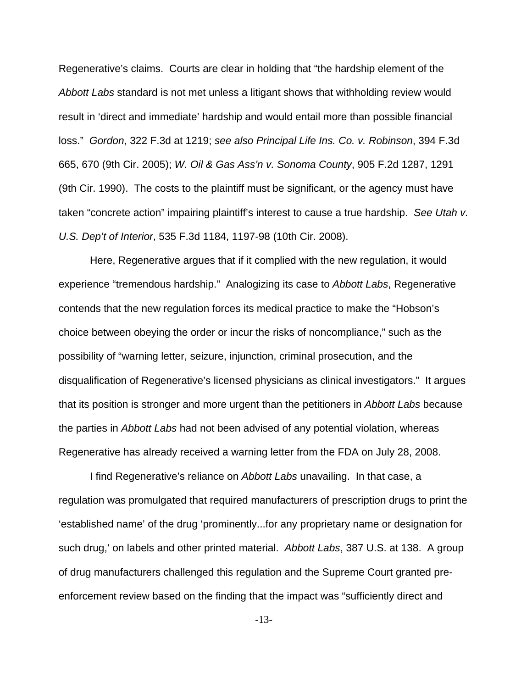Regenerative's claims. Courts are clear in holding that "the hardship element of the Abbott Labs standard is not met unless a litigant shows that withholding review would result in 'direct and immediate' hardship and would entail more than possible financial loss." Gordon, 322 F.3d at 1219; see also Principal Life Ins. Co. v. Robinson, 394 F.3d 665, 670 (9th Cir. 2005); W. Oil & Gas Ass'n v. Sonoma County, 905 F.2d 1287, 1291 (9th Cir. 1990). The costs to the plaintiff must be significant, or the agency must have taken "concrete action" impairing plaintiff's interest to cause a true hardship. See Utah v. U.S. Dep't of Interior, 535 F.3d 1184, 1197-98 (10th Cir. 2008).

Here, Regenerative argues that if it complied with the new regulation, it would experience "tremendous hardship." Analogizing its case to Abbott Labs, Regenerative contends that the new regulation forces its medical practice to make the "Hobson's choice between obeying the order or incur the risks of noncompliance," such as the possibility of "warning letter, seizure, injunction, criminal prosecution, and the disqualification of Regenerative's licensed physicians as clinical investigators." It argues that its position is stronger and more urgent than the petitioners in Abbott Labs because the parties in Abbott Labs had not been advised of any potential violation, whereas Regenerative has already received a warning letter from the FDA on July 28, 2008.

I find Regenerative's reliance on Abbott Labs unavailing. In that case, a regulation was promulgated that required manufacturers of prescription drugs to print the 'established name' of the drug 'prominently...for any proprietary name or designation for such drug,' on labels and other printed material. Abbott Labs, 387 U.S. at 138. A group of drug manufacturers challenged this regulation and the Supreme Court granted preenforcement review based on the finding that the impact was "sufficiently direct and

-13-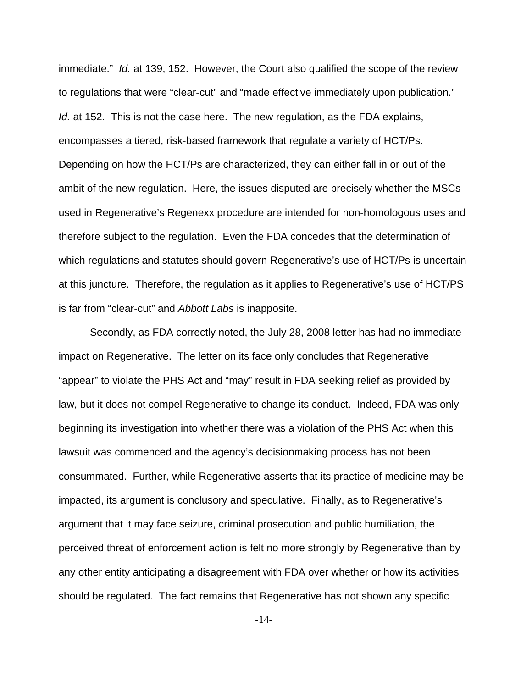immediate." Id. at 139, 152. However, the Court also qualified the scope of the review to regulations that were "clear-cut" and "made effective immediately upon publication." Id. at 152. This is not the case here. The new regulation, as the FDA explains, encompasses a tiered, risk-based framework that regulate a variety of HCT/Ps. Depending on how the HCT/Ps are characterized, they can either fall in or out of the ambit of the new regulation. Here, the issues disputed are precisely whether the MSCs used in Regenerative's Regenexx procedure are intended for non-homologous uses and therefore subject to the regulation. Even the FDA concedes that the determination of which regulations and statutes should govern Regenerative's use of HCT/Ps is uncertain at this juncture. Therefore, the regulation as it applies to Regenerative's use of HCT/PS is far from "clear-cut" and Abbott Labs is inapposite.

Secondly, as FDA correctly noted, the July 28, 2008 letter has had no immediate impact on Regenerative. The letter on its face only concludes that Regenerative "appear" to violate the PHS Act and "may" result in FDA seeking relief as provided by law, but it does not compel Regenerative to change its conduct. Indeed, FDA was only beginning its investigation into whether there was a violation of the PHS Act when this lawsuit was commenced and the agency's decisionmaking process has not been consummated. Further, while Regenerative asserts that its practice of medicine may be impacted, its argument is conclusory and speculative. Finally, as to Regenerative's argument that it may face seizure, criminal prosecution and public humiliation, the perceived threat of enforcement action is felt no more strongly by Regenerative than by any other entity anticipating a disagreement with FDA over whether or how its activities should be regulated. The fact remains that Regenerative has not shown any specific

-14-